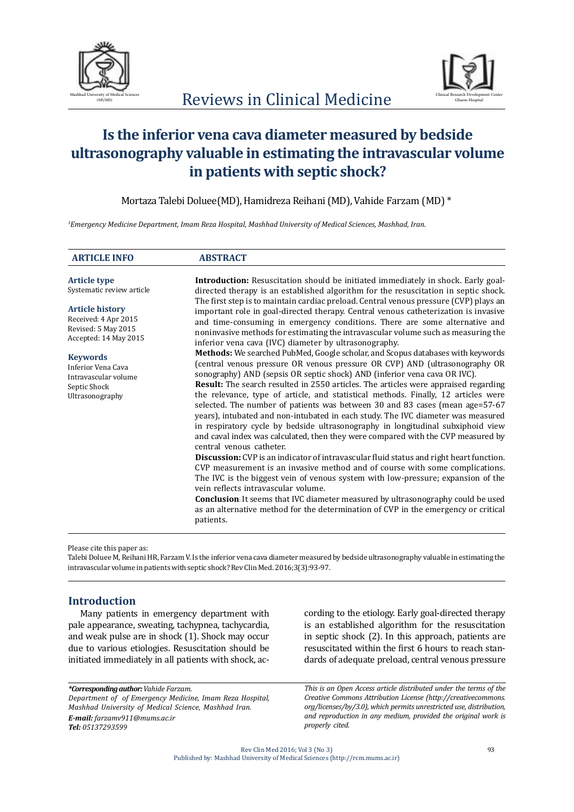



# **Is the inferior vena cava diameter measured by bedside ultrasonography valuable in estimating the intravascular volume in patients with septic shock?**

Mortaza Talebi Doluee(MD), Hamidreza Reihani (MD), Vahide Farzam (MD) \*

*1 Emergency Medicine Department, Imam Reza Hospital, Mashhad University of Medical Sciences, Mashhad, Iran.*

| <b>ARTICLE INFO</b>                                                                              | <b>ABSTRACT</b>                                                                                                                                                                                                                                                                                                                                                                                                                                                                                                                                                                                                                                                                                                                                                                                         |  |  |  |  |
|--------------------------------------------------------------------------------------------------|---------------------------------------------------------------------------------------------------------------------------------------------------------------------------------------------------------------------------------------------------------------------------------------------------------------------------------------------------------------------------------------------------------------------------------------------------------------------------------------------------------------------------------------------------------------------------------------------------------------------------------------------------------------------------------------------------------------------------------------------------------------------------------------------------------|--|--|--|--|
| <b>Article type</b>                                                                              | <b>Introduction:</b> Resuscitation should be initiated immediately in shock. Early goal-                                                                                                                                                                                                                                                                                                                                                                                                                                                                                                                                                                                                                                                                                                                |  |  |  |  |
| Systematic review article                                                                        | directed therapy is an established algorithm for the resuscitation in septic shock.                                                                                                                                                                                                                                                                                                                                                                                                                                                                                                                                                                                                                                                                                                                     |  |  |  |  |
| <b>Article history</b><br>Received: 4 Apr 2015<br>Revised: 5 May 2015<br>Accepted: 14 May 2015   | The first step is to maintain cardiac preload. Central venous pressure (CVP) plays an<br>important role in goal-directed therapy. Central venous catheterization is invasive<br>and time-consuming in emergency conditions. There are some alternative and<br>noninvasive methods for estimating the intravascular volume such as measuring the<br>inferior vena cava (IVC) diameter by ultrasonography.                                                                                                                                                                                                                                                                                                                                                                                                |  |  |  |  |
| <b>Keywords</b><br>Inferior Vena Cava<br>Intravascular volume<br>Septic Shock<br>Ultrasonography | Methods: We searched PubMed, Google scholar, and Scopus databases with keywords<br>(central venous pressure OR venous pressure OR CVP) AND (ultrasonography OR<br>sonography) AND (sepsis OR septic shock) AND (inferior vena cava OR IVC).<br><b>Result:</b> The search resulted in 2550 articles. The articles were appraised regarding<br>the relevance, type of article, and statistical methods. Finally, 12 articles were<br>selected. The number of patients was between 30 and 83 cases (mean age=57-67)<br>years), intubated and non-intubated in each study. The IVC diameter was measured<br>in respiratory cycle by bedside ultrasonography in longitudinal subxiphoid view<br>and caval index was calculated, then they were compared with the CVP measured by<br>central venous catheter. |  |  |  |  |
|                                                                                                  | Discussion: CVP is an indicator of intravascular fluid status and right heart function.<br>CVP measurement is an invasive method and of course with some complications.<br>The IVC is the biggest vein of venous system with low-pressure; expansion of the<br>vein reflects intravascular volume.<br><b>Conclusion</b> : It seems that IVC diameter measured by ultrasonography could be used                                                                                                                                                                                                                                                                                                                                                                                                          |  |  |  |  |
|                                                                                                  | as an alternative method for the determination of CVP in the emergency or critical<br>patients.                                                                                                                                                                                                                                                                                                                                                                                                                                                                                                                                                                                                                                                                                                         |  |  |  |  |

Please cite this paper as:

Talebi Doluee M, Reihani HR, Farzam V. Is the inferior vena cava diameter measured by bedside ultrasonography valuable in estimating the intravascular volume in patients with septic shock? Rev Clin Med. 2016;3(3):93-97.

# **Introduction**

Many patients in emergency department with pale appearance, sweating, tachypnea, tachycardia, and weak pulse are in shock (1). Shock may occur due to various etiologies. Resuscitation should be initiated immediately in all patients with shock, ac-

*\*Corresponding author: Vahide Farzam. Department of of Emergency Medicine, Imam Reza Hospital, Mashhad University of Medical Science, Mashhad Iran. E-mail: farzamv911@mums.ac.ir Tel: 05137293599*

cording to the etiology. Early goal-directed therapy is an established algorithm for the resuscitation in septic shock (2). In this approach, patients are resuscitated within the first 6 hours to reach standards of adequate preload, central venous pressure

*This is an Open Access article distributed under the terms of the Creative Commons Attribution License (http://creativecommons. org/licenses/by/3.0), which permits unrestricted use, distribution, and reproduction in any medium, provided the original work is properly cited.*

Rev Clin Med 2016; Vol 3 (No 3) Published by: Mashhad University of Medical Sciences (http://rcm.mums.ac.ir)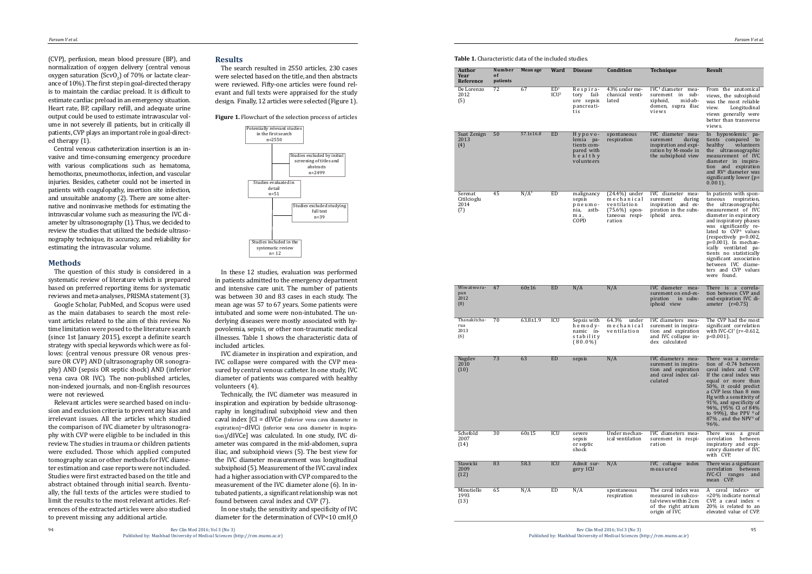# **Results**

The search resulted in 2550 articles, 230 cases were selected based on the title, and then abstracts were reviewed. Fifty-one articles were found rel evant and full texts were appraised for the study design. Finally, 12 articles were selected (Figure 1).

(CVP), perfusion, mean blood pressure (BP), and normalization of oxygen delivery (central venous oxygen saturation (Scv $O_2$ ) of 70% or lactate clearance of 10%). The first step in goal-directed therapy is to maintain the cardiac preload. It is difficult to estimate cardiac preload in an emergency situation. Heart rate, BP, capillary refill, and adequate urine output could be used to estimate intravascular vol ume in not severely ill patients, but in critically ill patients, CVP plays an important role in goal-direct ed therapy (1).

Central venous catheterization insertion is an in vasive and time-consuming emergency procedure with various complications such as hematoma, hemothorax, pneumothorax, infection, and vascular injuries. Besides, catheter could not be inserted in patients with coagulopathy, insertion site infection, and unsuitable anatomy (2). There are some alter native and noninvasive methods for estimating the intravascular volume such as measuring the IVC di ameter by ultrasonography (1). Thus, we decided to review the studies that utilized the bedside ultraso nography technique, its accuracy, and reliability for estimating the intravascular volume.

# **Methods**

The question of this study is considered in a systematic review of literature which is prepared based on preferred reporting items for systematic reviews and meta-analyses, PRISMA statement (3).

Google Scholar, PubMed, and Scopus were used as the main databases to search the most rele vant articles related to the aim of this review. No time limitation were posed to the literature search (since 1st January 2015), except a definite search strategy with special keywords which were as fol lows: (central venous pressure OR venous pres sure OR CVP) AND (ultrasonography OR sonogra phy) AND (sepsis OR septic shock) AND (inferior vena cava OR IVC). The non-published articles, non-indexed journals, and non-English resources were not reviewed.

> In one study, the sensitivity and specificity of IVC diameter for the determination of CVP<10  $\text{cmH}_{2}$ O

Relevant articles were searched based on inclu sion and exclusion criteria to prevent any bias and irrelevant issues. All the articles which studied the comparison of IVC diameter by ultrasonogra phy with CVP were eligible to be included in this review. The studies in trauma or children patients were excluded. Those which applied computed tomography scan or other methods for IVC diame ter estimation and case reports were not included. Studies were first extracted based on the title and abstract obtained through initial search. Eventu ally, the full texts of the articles were studied to limit the results to the most relevant articles. References of the extracted articles were also studied to prevent missing any additional article.

# **Figure 1.** Flowchart of the selection process of articles



In these 12 studies, evaluation was performed in patients admitted to the emergency department and intensive care unit. The number of patients was between 30 and 83 cases in each study. The mean age was 57 to 67 years. Some patients were intubated and some were non-intubated. The un derlying diseases were mostly associated with hy povolemia, sepsis, or other non-traumatic medical illnesses. Table 1 shows the characteristic data of included articles.

IVC diameter in inspiration and expiration, and IVC collapse were compared with the CVP mea sured by central venous catheter. In one study, IVC diameter of patients was compared with healthy volunteers (4).

Technically, the IVC diameter was measured in inspiration and expiration by bedside ultrasonog raphy in longitudinal subxiphoid view and then caval index [CI = dIVCe (Inferior vena cava diameter in expiration)−dIVCi (inferior vena cava diameter in inspira tion)/dIVCe] was calculated. In one study, IVC di ameter was compared in the mid-abdomen, supra iliac, and subxiphoid views (5). The best view for the IVC diameter measurement was longitudinal subxiphoid (5). Measurement of the IVC caval index had a higher association with CVP compared to the measurement of the IVC diameter alone (6). In in tubated patients, a significant relationship was not found between caval index and CVP (7).

**Table 1.** Characteristic data of the included studies.

| Author<br>Year<br>Reference           | Number<br>0f<br>patients | Mean age         | Ward                                | <b>Disease</b>                                                             | Condition                                                                                    | Technique                                                                                                      | Result                                                                                                                                                                                                                                                                                                                                                                                                           |
|---------------------------------------|--------------------------|------------------|-------------------------------------|----------------------------------------------------------------------------|----------------------------------------------------------------------------------------------|----------------------------------------------------------------------------------------------------------------|------------------------------------------------------------------------------------------------------------------------------------------------------------------------------------------------------------------------------------------------------------------------------------------------------------------------------------------------------------------------------------------------------------------|
| De Lorenzo<br>2012<br>(5)             | 72                       | 67               | ED <sup>1</sup><br>ICU <sup>2</sup> | Respira-<br>tory<br>fail-<br>ure sepsis<br>pancreati-<br>tis               | 43% under me-<br>chanical venti-<br>lated                                                    | $IVC3$ diameter mea-<br>surement in sub-<br>xiphoid,<br>mid-ab-<br>domen, supra iliac<br>views                 | From the anatomical<br>views, the subxiphoid<br>was the most reliable<br>Longitudinal<br>view.<br>views generally were<br>better than transverse<br>views.                                                                                                                                                                                                                                                       |
| Suat Zenign<br>2013<br>(4)            | 50                       | $57.1 \pm 16.8$  | <b>ED</b>                           | Hypovo-<br>lemia pa-<br>tients com-<br>pared with<br>healthy<br>volunteers | spontaneous<br>respiration                                                                   | IVC diameter mea-<br>during<br>surement<br>inspiration and expi-<br>ration by M-mode in<br>the subxiphoid view | In hypovolemic pa-<br>tients compared to<br>healthy<br>volunteers<br>the ultrasonographic<br>measurement of IVC<br>diameter in inspira-<br>tion and expiration<br>and RV <sup>4</sup> diameter was<br>significantly lower $(p=$<br>$0.001$ .                                                                                                                                                                     |
| Serenat<br>Citilcioglu<br>2014<br>(7) | 45                       | N/A <sup>5</sup> | ED                                  | malignancy<br>sepsis<br>pneumo-<br>nia,<br>asth-<br>ma,<br>COPD            | $(24.4\%)$ under<br>mechanical<br>ventilation<br>$(75.6%)$ spon-<br>taneous respi-<br>ration | IVC diameter mea-<br>surement<br>during<br>inspiration and ex-<br>piration in the subx-<br>iphoid area.        | In patients with spon-<br>taneous<br>respiration,<br>the ultrasonographic<br>measurement of IVC<br>diameter in expiratory<br>and inspiratory phases<br>was significantly re-<br>lated to CVP <sup>6</sup> values<br>(respectively p=0.002,<br>$p=0.001$ ). In mechan-<br>ically ventilated pa-<br>tients no statistically<br>significant association<br>between IVC diame-<br>ters and CVP values<br>were found. |
| Wiwatwora-<br>pan<br>2012<br>(8)      | 47                       | 60±16            | ED                                  | N/A                                                                        | N/A                                                                                          | IVC diameter mea-<br>surement on end-ex-<br>piration<br>in subx-<br>iphoid view                                | There is a correla-<br>tion between CVP and<br>end-expiration IVC di-<br>ameter $(r=0.75)$                                                                                                                                                                                                                                                                                                                       |
| Thanakitcha-<br>rua<br>2013<br>(6)    | 70                       | $63.8 \pm 1.9$   | ICU                                 | Sepsis with<br>hemody-<br>namic in-<br>stability<br>$(80.0\%)$             | 64.3%<br>under<br>mechanical<br>ventilation                                                  | IVC diameters mea-<br>surement in inspira-<br>tion and expiration<br>and IVC collapse in-<br>dex calculated    | The CVP had the most<br>significant correlation<br>with IVC-CI <sup>7</sup> (r=-0.612,<br>$p<0.001$ ).                                                                                                                                                                                                                                                                                                           |
| Nagdev<br>2010<br>(10)                | 73                       | 63               | ED                                  | sepsis                                                                     | N/A                                                                                          | IVC diameters mea-<br>surement in inspira-<br>tion and expiration<br>and caval index cal-<br>culated           | There was a correla-<br>tion of -0.74 between<br>caval index and CVP.<br>If the caval index was<br>equal or more than<br>$50\%$ , it could predict<br>a CVP less than 8 mm<br>Hg with a sensitivity of<br>91%, and specificity of<br>94%, (95% CI of 84%<br>to $99\%$ ), the PPV $8$ of<br>$87\%$ , and the NPV <sup>9</sup> of<br>96%.                                                                          |
| Schefold<br>2007<br>(14)              | 30                       | $60 + 15$        | ICU                                 | severe<br>sepsis<br>or septic<br>shock                                     | Under mechan-<br>ical ventilation                                                            | IVC diameters mea-<br>surement in respi-<br>ration                                                             | There was<br>a great<br>correlation<br>between<br>inspiratory and expi-<br>ratory diameter of IVC<br>with CVP.                                                                                                                                                                                                                                                                                                   |
| Stawicki<br>2009<br>(12)              | 83                       | 58.3             | <b>ICU</b>                          | Admit sur-<br>gery ICU                                                     | N/A                                                                                          | IVC collapse index<br>measured                                                                                 | There was a significant<br>correlation<br>between<br>IVC-CI<br>ranges<br>and<br>mean CVP.                                                                                                                                                                                                                                                                                                                        |
| Minutiello<br>1993<br>(13)            | 65                       | N/A              | ED                                  | N/A                                                                        | spontaneous<br>respiration                                                                   | The caval index was<br>measured in subcos-<br>tal views within 2 cm<br>of the right atrium<br>origin of IVC    | A caval index><br>or<br>=20% indicate normal<br>CVP, a caval index $\lt$<br>20% is related to an<br>elevated value of CVP.                                                                                                                                                                                                                                                                                       |



| Author<br>Year<br>Reference                    | Number<br>0 f<br>patients | Mean age         | Ward                                | <b>Disease</b>                                                             | Condition                                                                                     | <b>Technique</b>                                                                                               | Result                                                                                                                                                                                                                                                                                                                                                                                                             |
|------------------------------------------------|---------------------------|------------------|-------------------------------------|----------------------------------------------------------------------------|-----------------------------------------------------------------------------------------------|----------------------------------------------------------------------------------------------------------------|--------------------------------------------------------------------------------------------------------------------------------------------------------------------------------------------------------------------------------------------------------------------------------------------------------------------------------------------------------------------------------------------------------------------|
| De Lorenzo<br>2012<br>〔5〕                      | 72                        | 67               | ED <sup>1</sup><br>ICU <sup>2</sup> | Respira-<br>fail-<br>tory<br>ure sepsis<br>pancreati-<br>tis               | 43% under me-<br>chanical venti-<br>lated                                                     | IVC <sup>3</sup> diameter mea-<br>surement in sub-<br>xiphoid,<br>mid-ab-<br>domen, supra iliac<br>views       | From the anatomical<br>views, the subxiphoid<br>was the most reliable<br>view.<br>Longitudinal<br>views generally were<br>better than transverse<br>views.                                                                                                                                                                                                                                                         |
| Suat Zenign<br>2013<br>(4)                     | 50                        | $57.1 \pm 16.8$  | <b>ED</b>                           | Hypovo-<br>lemia pa-<br>tients com-<br>pared with<br>healthy<br>volunteers | spontaneous<br>respiration                                                                    | IVC diameter mea-<br>surement<br>during<br>inspiration and expi-<br>ration by M-mode in<br>the subxiphoid view | In hypovolemic pa-<br>tients compared to<br>healthy<br>volunteers<br>the ultrasonographic<br>measurement of IVC<br>diameter in inspira-<br>tion and expiration<br>and RV <sup>4</sup> diameter was<br>significantly lower $(p=$<br>$0.001$ ).                                                                                                                                                                      |
| Serenat<br>Citilcioglu<br>2014<br>[7]          | 45                        | N/A <sup>5</sup> | ED                                  | malignancy<br>sepsis<br>pneumo-<br>nia,<br>asth-<br>ma,<br>COPD            | $(24.4\%)$ under<br>mechanical<br>ventilation<br>$(75.6\%)$ spon-<br>taneous respi-<br>ration | IVC diameter mea-<br>surement<br>during<br>inspiration and ex-<br>piration in the subx-<br>iphoid area.        | In patients with spon-<br>taneous<br>respiration,<br>the ultrasonographic<br>measurement of IVC<br>diameter in expiratory<br>and inspiratory phases<br>was significantly re-<br>lated to CVP <sup>6</sup> values<br>$(respectively p=0.002,$<br>$p=0.001$ ). In mechan-<br>ically ventilated pa-<br>tients no statistically<br>significant association<br>between IVC diame-<br>ters and CVP values<br>were found. |
| Wiwatwora-<br>pan<br>2012<br>$\left( 8\right)$ | 47                        | 60±16            | ED                                  | N/A                                                                        | N/A                                                                                           | IVC diameter mea-<br>surement on end-ex-<br>piration<br>in subx-<br>iphoid view                                | There is a correla-<br>tion between CVP and<br>end-expiration IVC di-<br>ameter $(r=0.75)$                                                                                                                                                                                                                                                                                                                         |
| Thanakitcha-<br>rua<br>2013<br>[6]             | 70                        | $63.8 \pm 1.9$   | ICU                                 | Sepsis with<br>hemody-<br>namic in-<br>stability<br>$(80.0\%)$             | 64.3%<br>under<br>mechanical<br>ventilation                                                   | IVC diameters mea-<br>surement in inspira-<br>tion and expiration<br>and IVC collapse in-<br>dex calculated    | The CVP had the most<br>significant correlation<br>with IVC-CI <sup>7</sup> (r=-0.612,<br>$p<0.001$ ).                                                                                                                                                                                                                                                                                                             |
| Nagdev<br>2010<br>(10)                         | 73                        | 63               | ED                                  | sepsis                                                                     | N/A                                                                                           | IVC diameters mea-<br>surement in inspira-<br>tion and expiration<br>and caval index cal-<br>culated           | There was a correla-<br>tion of -0.74 between<br>caval index and CVP.<br>If the caval index was<br>equal or more than<br>$50\%$ , it could predict<br>a CVP less than 8 mm<br>Hg with a sensitivity of<br>91%, and specificity of<br>94%, (95% CI of 84%<br>to 99%), the PPV $8$ of<br>$87\%$ , and the NPV <sup>9</sup> of<br>$96%$ .                                                                             |
| Schefold<br>2007<br>(14)                       | 30                        | $60 + 15$        | ICU                                 | severe<br>sepsis<br>or septic<br>shock                                     | Under mechan-<br>ical ventilation                                                             | IVC diameters mea-<br>surement in respi-<br>ration                                                             | There was<br>a great<br>correlation<br>between<br>inspiratory and expi-<br>ratory diameter of IVC<br>with CVP.                                                                                                                                                                                                                                                                                                     |
| Stawicki<br>2009<br>(12)                       | 83                        | 58.3             | <b>ICU</b>                          | Admit sur-<br>gery ICU                                                     | N/A                                                                                           | IVC collapse index<br>measured                                                                                 | There was a significant<br>correlation<br>between<br><b>IVC-CI</b><br>ranges<br>and<br>mean CVP.                                                                                                                                                                                                                                                                                                                   |
| Minutiello<br>1993<br>(13)                     | 65                        | N/A              | ED                                  | N/A                                                                        | spontaneous<br>respiration                                                                    | The caval index was<br>measured in subcos-<br>tal views within 2 cm<br>of the right atrium<br>origin of IVC    | A caval index><br>or<br>$=$ 20% indicate normal<br>CVP, a caval index $\lt$<br>20% is related to an<br>elevated value of CVP.                                                                                                                                                                                                                                                                                      |